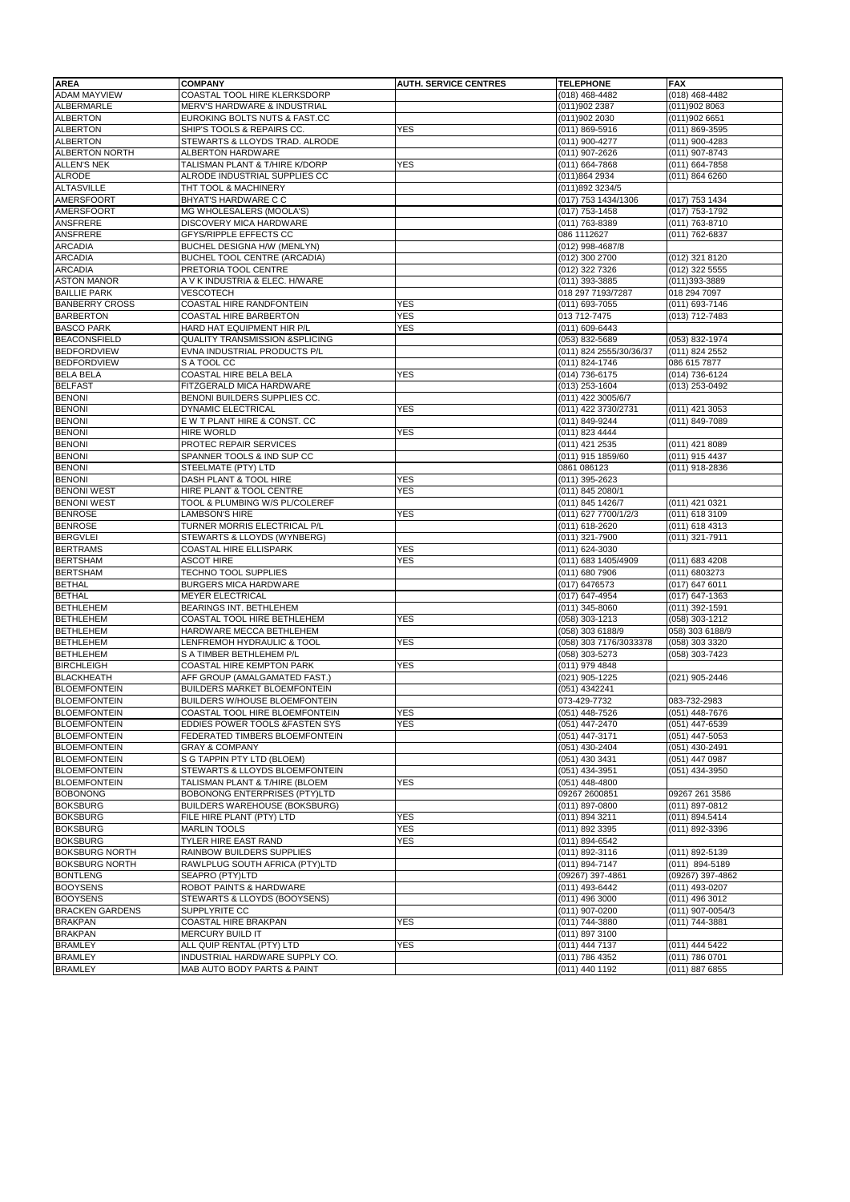| <b>AREA</b>                    | <b>COMPANY</b>                                    | <b>AUTH. SERVICE CENTRES</b> | <b>TELEPHONE</b>                 | <b>FAX</b>                       |
|--------------------------------|---------------------------------------------------|------------------------------|----------------------------------|----------------------------------|
| <b>ADAM MAYVIEW</b>            | COASTAL TOOL HIRE KLERKSDORP                      |                              | $(018)$ 468-4482                 | (018) 468-4482                   |
| <b>ALBERMARLE</b>              | MERV'S HARDWARE & INDUSTRIAL                      |                              | (011)902 2387                    | (011)902 8063                    |
| <b>ALBERTON</b>                | EUROKING BOLTS NUTS & FAST.CC                     |                              | (011)902 2030                    | (011)902 6651                    |
| <b>ALBERTON</b>                | SHIP'S TOOLS & REPAIRS CC.                        | <b>YES</b>                   | (011) 869-5916                   | (011) 869-3595                   |
| <b>ALBERTON</b>                | STEWARTS & LLOYDS TRAD. ALRODE                    |                              | (011) 900-4277                   | (011) 900-4283                   |
| <b>ALBERTON NORTH</b>          | ALBERTON HARDWARE                                 |                              | (011) 907-2626                   | (011) 907-8743                   |
| <b>ALLEN'S NEK</b>             | TALISMAN PLANT & T/HIRE K/DORP                    | <b>YES</b>                   | (011) 664-7868                   | (011) 664-7858                   |
| <b>ALRODE</b>                  | ALRODE INDUSTRIAL SUPPLIES CC                     |                              | (011)864 2934                    | (011) 864 6260                   |
| <b>ALTASVILLE</b>              | THT TOOL & MACHINERY                              |                              | (011)892 3234/5                  |                                  |
| <b>AMERSFOORT</b>              | BHYAT'S HARDWARE C C                              |                              | (017) 753 1434/1306              | (017) 753 1434                   |
| <b>AMERSFOORT</b>              | MG WHOLESALERS (MOOLA'S)                          |                              | (017) 753-1458                   | (017) 753-1792                   |
| ANSFRERE                       | DISCOVERY MICA HARDWARE                           |                              | (011) 763-8389                   | (011) 763-8710                   |
| ANSFRERE                       | GFYS/RIPPLE EFFECTS CC                            |                              | 086 1112627                      | (011) 762-6837                   |
| <b>ARCADIA</b>                 | BUCHEL DESIGNA H/W (MENLYN)                       |                              | (012) 998-4687/8                 |                                  |
| <b>ARCADIA</b>                 | <b>BUCHEL TOOL CENTRE (ARCADIA)</b>               |                              | (012) 300 2700                   | (012) 321 8120                   |
| <b>ARCADIA</b>                 | PRETORIA TOOL CENTRE                              |                              | (012) 322 7326                   | (012) 322 5555                   |
| <b>ASTON MANOR</b>             | A V K INDUSTRIA & ELEC. H/WARE                    |                              | (011) 393-3885                   | (011)393-3889                    |
| <b>BAILLIE PARK</b>            | VESCOTECH                                         |                              | 018 297 7193/7287                | 018 294 7097                     |
| <b>BANBERRY CROSS</b>          | COASTAL HIRE RANDFONTEIN                          | <b>YES</b>                   | (011) 693-7055                   | (011) 693-7146                   |
| <b>BARBERTON</b>               | COASTAL HIRE BARBERTON                            | <b>YES</b>                   | 013 712-7475                     | (013) 712-7483                   |
| <b>BASCO PARK</b>              | HARD HAT EQUIPMENT HIR P/L                        | YES                          | (011) 609-6443                   |                                  |
| <b>BEACONSFIELD</b>            | <b>QUALITY TRANSMISSION &amp;SPLICING</b>         |                              | (053) 832-5689                   | (053) 832-1974                   |
| <b>BEDFORDVIEW</b>             | EVNA INDUSTRIAL PRODUCTS P/L                      |                              | (011) 824 2555/30/36/37          | (011) 824 2552                   |
| <b>BEDFORDVIEW</b>             | S A TOOL CC                                       |                              | (011) 824-1746                   | 086 615 7877                     |
| <b>BELA BELA</b>               | COASTAL HIRE BELA BELA                            | <b>YES</b>                   | (014) 736-6175                   | (014) 736-6124                   |
| <b>BELFAST</b>                 | FITZGERALD MICA HARDWARE                          |                              | (013) 253-1604                   | (013) 253-0492                   |
| <b>BENONI</b>                  | BENONI BUILDERS SUPPLIES CC.                      |                              | (011) 422 3005/6/7               |                                  |
| <b>BENONI</b>                  | DYNAMIC ELECTRICAL                                | <b>YES</b>                   | (011) 422 3730/2731              | (011) 421 3053                   |
| <b>BENONI</b><br><b>BENONI</b> | E W T PLANT HIRE & CONST. CC                      |                              | (011) 849-9244                   | (011) 849-7089                   |
| <b>BENONI</b>                  | <b>HIRE WORLD</b><br>PROTEC REPAIR SERVICES       | YES                          | (011) 823 4444<br>(011) 421 2535 |                                  |
| <b>BENONI</b>                  |                                                   |                              |                                  | (011) 421 8089                   |
| <b>BENONI</b>                  | SPANNER TOOLS & IND SUP CC<br>STEELMATE (PTY) LTD |                              | (011) 915 1859/60<br>0861 086123 | (011) 915 4437<br>(011) 918-2836 |
| <b>BENONI</b>                  | DASH PLANT & TOOL HIRE                            | <b>YES</b>                   | (011) 395-2623                   |                                  |
| <b>BENONI WEST</b>             | HIRE PLANT & TOOL CENTRE                          | <b>YES</b>                   | (011) 845 2080/1                 |                                  |
| <b>BENONI WEST</b>             | TOOL & PLUMBING W/S PL/COLEREF                    |                              | (011) 845 1426/7                 | (011) 421 0321                   |
| <b>BENROSE</b>                 | LAMBSON'S HIRE                                    | YES                          | (011) 627 7700/1/2/3             | (011) 618 3109                   |
| <b>BENROSE</b>                 | TURNER MORRIS ELECTRICAL P/L                      |                              | (011) 618-2620                   | (011) 618 4313                   |
| <b>BERGVLEI</b>                | STEWARTS & LLOYDS (WYNBERG)                       |                              | (011) 321-7900                   | (011) 321-7911                   |
| <b>BERTRAMS</b>                | <b>COASTAL HIRE ELLISPARK</b>                     | <b>YES</b>                   | (011) 624-3030                   |                                  |
| <b>BERTSHAM</b>                | <b>ASCOT HIRE</b>                                 | <b>YES</b>                   | (011) 683 1405/4909              | (011) 683 4208                   |
| <b>BERTSHAM</b>                | TECHNO TOOL SUPPLIES                              |                              | (011) 680 7906                   | (011) 6803273                    |
| <b>BETHAL</b>                  | BURGERS MICA HARDWARE                             |                              | (017) 6476573                    | (017) 647 6011                   |
| <b>BETHAL</b>                  | MEYER ELECTRICAL                                  |                              | (017) 647-4954                   | (017) 647-1363                   |
| <b>BETHLEHEM</b>               | BEARINGS INT. BETHLEHEM                           |                              | (011) 345-8060                   | (011) 392-1591                   |
| <b>BETHLEHEM</b>               | COASTAL TOOL HIRE BETHLEHEM                       | <b>YES</b>                   | (058) 303-1213                   | (058) 303-1212                   |
| <b>BETHLEHEM</b>               | HARDWARE MECCA BETHLEHEM                          |                              | (058) 303 6188/9                 | 058) 303 6188/9                  |
| <b>BETHLEHEM</b>               | LENFREMOH HYDRAULIC & TOOL                        | YES                          | (058) 303 7176/3033378           | (058) 303 3320                   |
| <b>BETHLEHEM</b>               | S A TIMBER BETHLEHEM P/L                          |                              | (058) 303-5273                   | (058) 303-7423                   |
| <b>BIRCHLEIGH</b>              | COASTAL HIRE KEMPTON PARK                         | <b>YES</b>                   | (011) 979 4848                   |                                  |
| <b>BLACKHEATH</b>              | AFF GROUP (AMALGAMATED FAST.)                     |                              | (021) 905-1225                   | (021) 905-2446                   |
| <b>BLOEMFONTEIN</b>            | BUILDERS MARKET BLOEMFONTEIN                      |                              | (051) 4342241                    |                                  |
| <b>BLOEMFONTEIN</b>            | BUILDERS W/HOUSE BLOEMFONTEIN                     |                              | 073-429-7732                     | 083-732-2983                     |
| <b>BLOEMFONTEIN</b>            | COASTAL TOOL HIRE BLOEMFONTEIN                    | <b>YES</b>                   | (051) 448-7526                   | (051) 448-7676                   |
| <b>BLOEMFONTEIN</b>            | EDDIES POWER TOOLS & FASTEN SYS                   | YES                          | (051) 447-2470                   | (051) 447-6539                   |
| <b>BLOEMFONTEIN</b>            | FEDERATED TIMBERS BLOEMFONTEIN                    |                              | (051) 447-3171                   | $(051)$ 447-5053                 |
| <b>BLOEMFONTEIN</b>            | <b>GRAY &amp; COMPANY</b>                         |                              | (051) 430-2404                   | (051) 430-2491                   |
| <b>BLOEMFONTEIN</b>            | S G TAPPIN PTY LTD (BLOEM)                        |                              | (051) 430 3431                   | (051) 447 0987                   |
| <b>BLOEMFONTEIN</b>            | STEWARTS & LLOYDS BLOEMFONTEIN                    |                              | (051) 434-3951                   | (051) 434-3950                   |
| <b>BLOEMFONTEIN</b>            | TALISMAN PLANT & T/HIRE (BLOEM                    | <b>YES</b>                   | (051) 448-4800                   |                                  |
| <b>BOBONONG</b>                | BOBONONG ENTERPRISES (PTY)LTD                     |                              | 09267 2600851                    | 09267 261 3586                   |
| <b>BOKSBURG</b>                | BUILDERS WAREHOUSE (BOKSBURG)                     |                              | (011) 897-0800                   | (011) 897-0812                   |
| <b>BOKSBURG</b>                | FILE HIRE PLANT (PTY) LTD                         | <b>YES</b>                   | (011) 894 3211                   | (011) 894.5414                   |
| <b>BOKSBURG</b>                | <b>MARLIN TOOLS</b>                               | <b>YES</b>                   | (011) 892 3395                   | (011) 892-3396                   |
| <b>BOKSBURG</b>                | TYLER HIRE EAST RAND                              | <b>YES</b>                   | (011) 894-6542                   |                                  |
| <b>BOKSBURG NORTH</b>          | RAINBOW BUILDERS SUPPLIES                         |                              | (011) 892-3116                   | (011) 892-5139                   |
| <b>BOKSBURG NORTH</b>          | RAWLPLUG SOUTH AFRICA (PTY)LTD                    |                              | (011) 894-7147                   | (011) 894-5189                   |
| <b>BONTLENG</b>                | SEAPRO (PTY)LTD                                   |                              | (09267) 397-4861                 | (09267) 397-4862                 |
| <b>BOOYSENS</b>                | ROBOT PAINTS & HARDWARE                           |                              | (011) 493-6442                   | (011) 493-0207                   |
| <b>BOOYSENS</b>                | STEWARTS & LLOYDS (BOOYSENS)                      |                              | (011) 496 3000                   | (011) 496 3012                   |
| <b>BRACKEN GARDENS</b>         | SUPPLYRITE CC                                     |                              | (011) 907-0200                   | (011) 907-0054/3                 |
| <b>BRAKPAN</b>                 | COASTAL HIRE BRAKPAN                              | <b>YES</b>                   | (011) 744-3880                   | (011) 744-3881                   |
| <b>BRAKPAN</b>                 | MERCURY BUILD IT                                  |                              | (011) 897 3100                   |                                  |
| <b>BRAMLEY</b>                 | ALL QUIP RENTAL (PTY) LTD                         | YES                          | (011) 444 7137                   | (011) 444 5422                   |
| <b>BRAMLEY</b>                 | INDUSTRIAL HARDWARE SUPPLY CO.                    |                              | (011) 786 4352                   | (011) 786 0701                   |
| <b>BRAMLEY</b>                 | MAB AUTO BODY PARTS & PAINT                       |                              | (011) 440 1192                   | (011) 887 6855                   |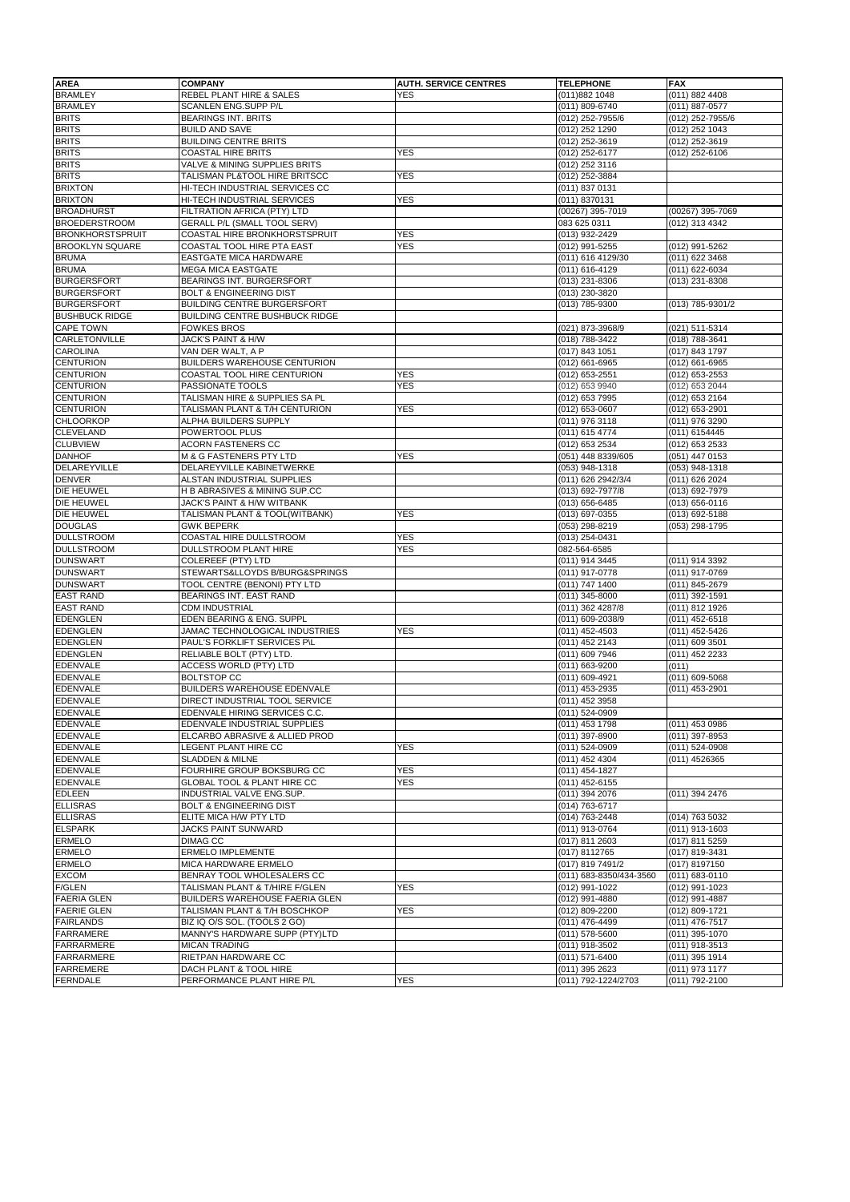| <b>AREA</b>                                     | <b>COMPANY</b>                                                | <b>AUTH. SERVICE CENTRES</b> | <b>TELEPHONE</b>                          | <b>FAX</b>                       |
|-------------------------------------------------|---------------------------------------------------------------|------------------------------|-------------------------------------------|----------------------------------|
| <b>BRAMLEY</b>                                  | REBEL PLANT HIRE & SALES                                      | <b>YES</b>                   | (011)882 1048                             | (011) 882 4408                   |
| <b>BRAMLEY</b>                                  | <b>SCANLEN ENG.SUPP P/L</b>                                   |                              | (011) 809-6740                            | (011) 887-0577                   |
| <b>BRITS</b>                                    | <b>BEARINGS INT. BRITS</b>                                    |                              | (012) 252-7955/6                          | (012) 252-7955/6                 |
| <b>BRITS</b>                                    | <b>BUILD AND SAVE</b>                                         |                              | (012) 252 1290                            | (012) 252 1043                   |
| <b>BRITS</b>                                    | <b>BUILDING CENTRE BRITS</b>                                  |                              | (012) 252-3619                            | (012) 252-3619                   |
| <b>BRITS</b>                                    | <b>COASTAL HIRE BRITS</b>                                     | YES                          | (012) 252-6177                            | (012) 252-6106                   |
| <b>BRITS</b>                                    | VALVE & MINING SUPPLIES BRITS                                 |                              | (012) 252 3116                            |                                  |
| <b>BRITS</b>                                    | TALISMAN PL&TOOL HIRE BRITSCC                                 | YES                          | (012) 252-3884                            |                                  |
| <b>BRIXTON</b>                                  | HI-TECH INDUSTRIAL SERVICES CC                                |                              | (011) 837 0131                            |                                  |
| <b>BRIXTON</b>                                  | HI-TECH INDUSTRIAL SERVICES                                   | <b>YES</b>                   | (011) 8370131                             |                                  |
| <b>BROADHURST</b>                               | FILTRATION AFRICA (PTY) LTD                                   |                              | (00267) 395-7019                          | (00267) 395-7069                 |
| <b>BROEDERSTROOM</b><br><b>BRONKHORSTSPRUIT</b> | GERALL P/L (SMALL TOOL SERV)<br>COASTAL HIRE BRONKHORSTSPRUIT | YES                          | 083 625 0311                              | (012) 313 4342                   |
| <b>BROOKLYN SQUARE</b>                          | COASTAL TOOL HIRE PTA EAST                                    | <b>YES</b>                   | (013) 932-2429<br>(012) 991-5255          | (012) 991-5262                   |
| <b>BRUMA</b>                                    | EASTGATE MICA HARDWARE                                        |                              | (011) 616 4129/30                         | (011) 622 3468                   |
| <b>BRUMA</b>                                    | <b>MEGA MICA EASTGATE</b>                                     |                              | (011) 616-4129                            | (011) 622-6034                   |
| <b>BURGERSFORT</b>                              | BEARINGS INT. BURGERSFORT                                     |                              | (013) 231-8306                            | (013) 231-8308                   |
| <b>BURGERSFORT</b>                              | <b>BOLT &amp; ENGINEERING DIST</b>                            |                              | (013) 230-3820                            |                                  |
| <b>BURGERSFORT</b>                              | <b>BUILDING CENTRE BURGERSFORT</b>                            |                              | (013) 785-9300                            | (013) 785-9301/2                 |
| <b>BUSHBUCK RIDGE</b>                           | BUILDING CENTRE BUSHBUCK RIDGE                                |                              |                                           |                                  |
| <b>CAPE TOWN</b>                                | <b>FOWKES BROS</b>                                            |                              | (021) 873-3968/9                          | (021) 511-5314                   |
| CARLETONVILLE                                   | JACK'S PAINT & H/W                                            |                              | (018) 788-3422                            | (018) 788-3641                   |
| <b>CAROLINA</b>                                 | VAN DER WALT, A P                                             |                              | (017) 843 1051                            | (017) 843 1797                   |
| <b>CENTURION</b>                                | <b>BUILDERS WAREHOUSE CENTURION</b>                           |                              | (012) 661-6965                            | (012) 661-6965                   |
| <b>CENTURION</b>                                | COASTAL TOOL HIRE CENTURION                                   | YES                          | (012) 653-2551                            | (012) 653-2553                   |
| <b>CENTURION</b>                                | PASSIONATE TOOLS                                              | <b>YES</b>                   | (012) 653 9940                            | (012) 653 2044                   |
| <b>CENTURION</b>                                | TALISMAN HIRE & SUPPLIES SA PL                                |                              | (012) 653 7995                            | (012) 653 2164                   |
| <b>CENTURION</b>                                | TALISMAN PLANT & T/H CENTURION                                | YES                          | (012) 653-0607                            | (012) 653-2901                   |
| <b>CHLOORKOP</b>                                | ALPHA BUILDERS SUPPLY                                         |                              | (011) 976 3118                            | (011) 976 3290                   |
| <b>CLEVELAND</b>                                | POWERTOOL PLUS                                                |                              | (011) 615 4774                            | (011) 6154445                    |
| <b>CLUBVIEW</b>                                 | ACORN FASTENERS CC                                            |                              | (012) 653 2534                            | (012) 653 2533                   |
| <b>DANHOF</b>                                   | M & G FASTENERS PTY LTD                                       | YES                          | (051) 448 8339/605                        | (051) 447 0153                   |
| DELAREYVILLE                                    | DELAREYVILLE KABINETWERKE                                     |                              | (053) 948-1318                            | (053) 948-1318                   |
| <b>DENVER</b>                                   | ALSTAN INDUSTRIAL SUPPLIES                                    |                              | (011) 626 2942/3/4                        | (011) 626 2024                   |
| DIE HEUWEL                                      | H B ABRASIVES & MINING SUP.CC                                 |                              | (013) 692-7977/8                          | (013) 692-7979                   |
| DIE HEUWEL                                      | JACK'S PAINT & H/W WITBANK                                    |                              | (013) 656-6485                            | (013) 656-0116                   |
| DIE HEUWEL                                      | TALISMAN PLANT & TOOL(WITBANK)                                | YES                          | (013) 697-0355                            | (013) 692-5188                   |
| <b>DOUGLAS</b>                                  | <b>GWK BEPERK</b>                                             |                              | (053) 298-8219                            | (053) 298-1795                   |
| <b>DULLSTROOM</b>                               | COASTAL HIRE DULLSTROOM                                       | <b>YES</b>                   | (013) 254-0431                            |                                  |
| <b>DULLSTROOM</b><br><b>DUNSWART</b>            | DULLSTROOM PLANT HIRE<br>COLEREEF (PTY) LTD                   | YES                          | 082-564-6585                              |                                  |
| <b>DUNSWART</b>                                 | STEWARTS&LLOYDS B/BURG&SPRINGS                                |                              | (011) 914 3445<br>(011) 917-0778          | (011) 914 3392<br>(011) 917-0769 |
| <b>DUNSWART</b>                                 | TOOL CENTRE (BENONI) PTY LTD                                  |                              | (011) 747 1400                            | (011) 845-2679                   |
| <b>EAST RAND</b>                                | BEARINGS INT. EAST RAND                                       |                              | (011) 345-8000                            | (011) 392-1591                   |
| <b>EAST RAND</b>                                | <b>CDM INDUSTRIAL</b>                                         |                              | (011) 362 4287/8                          | (011) 812 1926                   |
| <b>EDENGLEN</b>                                 | EDEN BEARING & ENG. SUPPL                                     |                              | (011) 609-2038/9                          | (011) 452-6518                   |
| <b>EDENGLEN</b>                                 | JAMAC TECHNOLOGICAL INDUSTRIES                                | <b>YES</b>                   | (011) 452-4503                            | (011) 452-5426                   |
| <b>EDENGLEN</b>                                 | PAUL'S FORKLIFT SERVICES P\L                                  |                              | (011) 452 2143                            | (011) 609 3501                   |
| <b>EDENGLEN</b>                                 | RELIABLE BOLT (PTY) LTD.                                      |                              | (011) 609 7946                            | (011) 452 2233                   |
| <b>EDENVALE</b>                                 | ACCESS WORLD (PTY) LTD                                        |                              | (011) 663-9200                            | (011)                            |
| <b>EDENVALE</b>                                 | <b>BOLTSTOP CC</b>                                            |                              | (011) 609-4921                            | (011) 609-5068                   |
| <b>EDENVALE</b>                                 | BUILDERS WAREHOUSE EDENVALE                                   |                              | (011) 453-2935                            | (011) 453-2901                   |
| <b>EDENVALE</b>                                 | DIRECT INDUSTRIAL TOOL SERVICE                                |                              | (011) 452 3958                            |                                  |
| <b>EDENVALE</b>                                 | EDENVALE HIRING SERVICES C.C.                                 |                              | (011) 524-0909                            |                                  |
| <b>EDENVALE</b>                                 | EDENVALE INDUSTRIAL SUPPLIES                                  |                              | (011) 453 1798                            | (011) 453 0986                   |
| <b>EDENVALE</b>                                 | ELCARBO ABRASIVE & ALLIED PROD                                |                              | (011) 397-8900                            | (011) 397-8953                   |
| <b>EDENVALE</b>                                 | LEGENT PLANT HIRE CC                                          | <b>YES</b>                   | (011) 524-0909                            | (011) 524-0908                   |
| <b>EDENVALE</b>                                 | <b>SLADDEN &amp; MILNE</b>                                    |                              | (011) 452 4304                            | (011) 4526365                    |
| <b>EDENVALE</b>                                 | FOURHIRE GROUP BOKSBURG CC                                    | YES                          | (011) 454-1827                            |                                  |
| <b>EDENVALE</b>                                 | GLOBAL TOOL & PLANT HIRE CC                                   | YES                          | (011) 452-6155                            |                                  |
| <b>EDLEEN</b>                                   | INDUSTRIAL VALVE ENG.SUP.                                     |                              | (011) 394 2076                            | (011) 394 2476                   |
| <b>ELLISRAS</b>                                 | <b>BOLT &amp; ENGINEERING DIST</b>                            |                              | (014) 763-6717                            |                                  |
| <b>ELLISRAS</b>                                 | ELITE MICA H/W PTY LTD                                        |                              | (014) 763-2448                            | (014) 763 5032                   |
| <b>ELSPARK</b>                                  | JACKS PAINT SUNWARD                                           |                              | (011) 913-0764                            | (011) 913-1603                   |
| <b>ERMELO</b>                                   | <b>DIMAG CC</b>                                               |                              | (017) 811 2603                            | (017) 811 5259                   |
| <b>ERMELO</b><br><b>ERMELO</b>                  | <b>ERMELO IMPLEMENTE</b><br>MICA HARDWARE ERMELO              |                              | (017) 8112765<br>(017) 819 7491/2         | (017) 819-3431<br>(017) 8197150  |
|                                                 |                                                               |                              |                                           |                                  |
| <b>EXCOM</b><br><b>F/GLEN</b>                   | BENRAY TOOL WHOLESALERS CC<br>TALISMAN PLANT & T/HIRE F/GLEN  | <b>YES</b>                   | (011) 683-8350/434-3560<br>(012) 991-1022 | (011) 683-0110<br>(012) 991-1023 |
| <b>FAERIA GLEN</b>                              | BUILDERS WAREHOUSE FAERIA GLEN                                |                              | (012) 991-4880                            | (012) 991-4887                   |
| <b>FAERIE GLEN</b>                              | TALISMAN PLANT & T/H BOSCHKOP                                 | YES                          | (012) 809-2200                            | (012) 809-1721                   |
| <b>FAIRLANDS</b>                                | BIZ IQ O/S SOL. (TOOLS 2 GO)                                  |                              | (011) 476-4499                            | $(011)$ 476-7517                 |
| <b>FARRAMERE</b>                                | MANNY'S HARDWARE SUPP (PTY)LTD                                |                              | (011) 578-5600                            | (011) 395-1070                   |
| <b>FARRARMERE</b>                               | <b>MICAN TRADING</b>                                          |                              | (011) 918-3502                            | (011) 918-3513                   |
| <b>FARRARMERE</b>                               | RIETPAN HARDWARE CC                                           |                              | (011) 571-6400                            | (011) 395 1914                   |
| <b>FARREMERE</b>                                | DACH PLANT & TOOL HIRE                                        |                              | (011) 395 2623                            | (011) 973 1177                   |
| <b>FERNDALE</b>                                 | PERFORMANCE PLANT HIRE P/L                                    | YES                          | (011) 792-1224/2703                       | (011) 792-2100                   |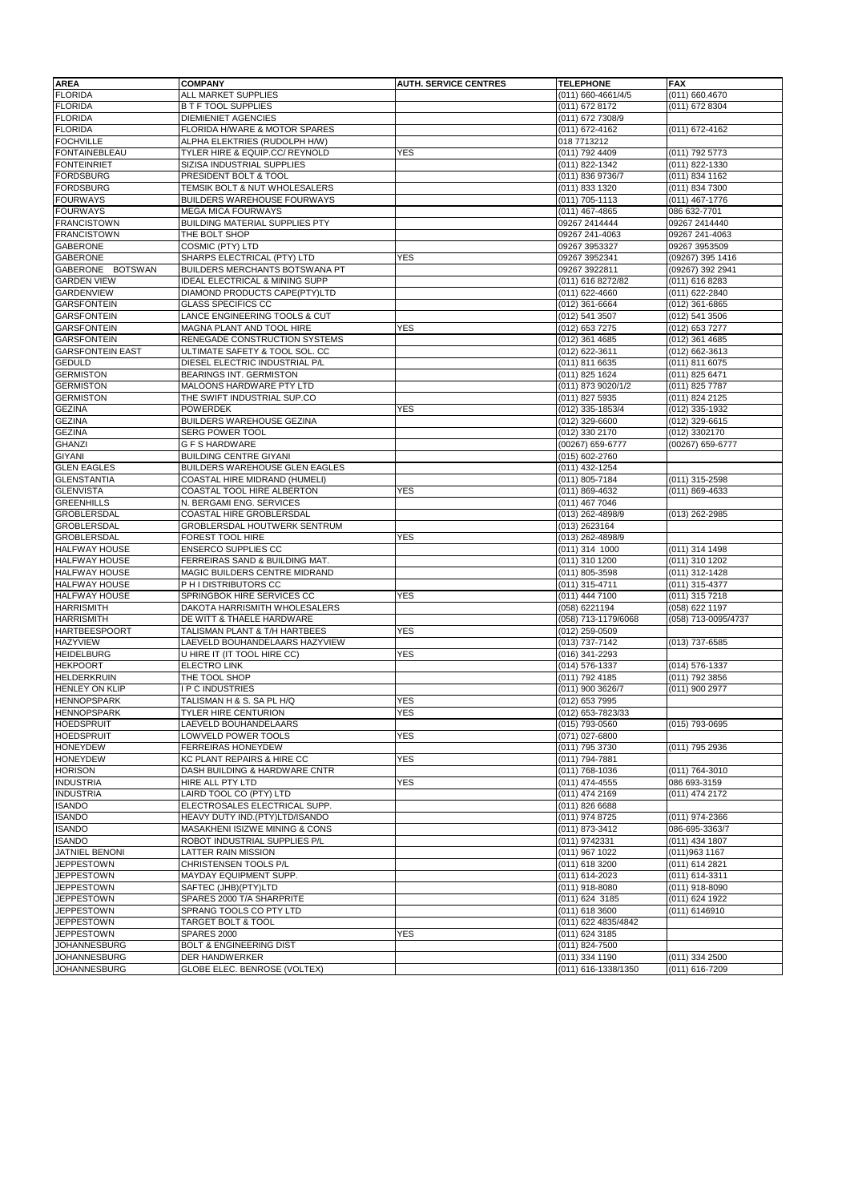| <b>AREA</b>             | <b>COMPANY</b>                            | <b>AUTH. SERVICE CENTRES</b> | <b>TELEPHONE</b>    | <b>FAX</b>          |
|-------------------------|-------------------------------------------|------------------------------|---------------------|---------------------|
| <b>FLORIDA</b>          | ALL MARKET SUPPLIES                       |                              | (011) 660-4661/4/5  | (011) 660.4670      |
| <b>FLORIDA</b>          | <b>B T F TOOL SUPPLIES</b>                |                              | (011) 672 8172      | (011) 672 8304      |
| <b>FLORIDA</b>          | <b>DIEMIENIET AGENCIES</b>                |                              | (011) 672 7308/9    |                     |
| <b>FLORIDA</b>          | FLORIDA H/WARE & MOTOR SPARES             |                              | (011) 672-4162      | $(011) 672 - 4162$  |
| <b>FOCHVILLE</b>        | ALPHA ELEKTRIES (RUDOLPH H/W)             |                              | 018 7713212         |                     |
| <b>FONTAINEBLEAU</b>    | TYLER HIRE & EQUIP.CC/ REYNOLD            | <b>YES</b>                   | (011) 792 4409      | (011) 792 5773      |
| <b>FONTEINRIET</b>      | SIZISA INDUSTRIAL SUPPLIES                |                              | (011) 822-1342      | (011) 822-1330      |
| <b>FORDSBURG</b>        | PRESIDENT BOLT & TOOL                     |                              | (011) 836 9736/7    | (011) 834 1162      |
| <b>FORDSBURG</b>        | TEMSIK BOLT & NUT WHOLESALERS             |                              | (011) 833 1320      | (011) 834 7300      |
| <b>FOURWAYS</b>         | BUILDERS WAREHOUSE FOURWAYS               |                              |                     | $(011)$ 467-1776    |
|                         |                                           |                              | (011) 705-1113      |                     |
| <b>FOURWAYS</b>         | <b>MEGA MICA FOURWAYS</b>                 |                              | $(011)$ 467-4865    | 086 632-7701        |
| <b>FRANCISTOWN</b>      | BUILDING MATERIAL SUPPLIES PTY            |                              | 09267 2414444       | 09267 2414440       |
| <b>FRANCISTOWN</b>      | THE BOLT SHOP                             |                              | 09267 241-4063      | 09267 241-4063      |
| <b>GABERONE</b>         | COSMIC (PTY) LTD                          |                              | 09267 3953327       | 09267 3953509       |
| <b>GABERONE</b>         | SHARPS ELECTRICAL (PTY) LTD               | <b>YES</b>                   | 09267 3952341       | (09267) 395 1416    |
| GABERONE BOTSWAN        | BUILDERS MERCHANTS BOTSWANA PT            |                              | 09267 3922811       | (09267) 392 2941    |
| <b>GARDEN VIEW</b>      | <b>IDEAL ELECTRICAL &amp; MINING SUPP</b> |                              | (011) 616 8272/82   | (011) 616 8283      |
| <b>GARDENVIEW</b>       | DIAMOND PRODUCTS CAPE(PTY)LTD             |                              | (011) 622-4660      | (011) 622-2840      |
| <b>GARSFONTEIN</b>      | <b>GLASS SPECIFICS CC</b>                 |                              | (012) 361-6664      | (012) 361-6865      |
| <b>GARSFONTEIN</b>      | LANCE ENGINEERING TOOLS & CUT             |                              | (012) 541 3507      | (012) 541 3506      |
| <b>GARSFONTEIN</b>      | MAGNA PLANT AND TOOL HIRE                 | <b>YES</b>                   | (012) 653 7275      | (012) 653 7277      |
| <b>GARSFONTEIN</b>      | RENEGADE CONSTRUCTION SYSTEMS             |                              | (012) 361 4685      | (012) 361 4685      |
| <b>GARSFONTEIN EAST</b> | ULTIMATE SAFETY & TOOL SOL. CC            |                              | (012) 622-3611      | (012) 662-3613      |
| <b>GEDULD</b>           | DIESEL ELECTRIC INDUSTRIAL P/L            |                              | (011) 811 6635      | (011) 811 6075      |
| <b>GERMISTON</b>        | BEARINGS INT. GERMISTON                   |                              | (011) 825 1624      | (011) 825 6471      |
| <b>GERMISTON</b>        | MALOONS HARDWARE PTY LTD                  |                              | (011) 873 9020/1/2  | (011) 825 7787      |
| <b>GERMISTON</b>        | THE SWIFT INDUSTRIAL SUP.CO               |                              | (011) 827 5935      | (011) 824 2125      |
| <b>GEZINA</b>           | <b>POWERDEK</b>                           | YES                          | (012) 335-1853/4    | (012) 335-1932      |
| <b>GEZINA</b>           | BUILDERS WAREHOUSE GEZINA                 |                              | (012) 329-6600      | (012) 329-6615      |
| <b>GEZINA</b>           | SERG POWER TOOL                           |                              | (012) 330 2170      | (012) 3302170       |
| <b>GHANZI</b>           | <b>G F S HARDWARE</b>                     |                              | (00267) 659-6777    | (00267) 659-6777    |
| <b>GIYANI</b>           | <b>BUILDING CENTRE GIYANI</b>             |                              | (015) 602-2760      |                     |
| <b>GLEN EAGLES</b>      | BUILDERS WAREHOUSE GLEN EAGLES            |                              | (011) 432-1254      |                     |
| <b>GLENSTANTIA</b>      | COASTAL HIRE MIDRAND (HUMELI)             |                              | (011) 805-7184      | (011) 315-2598      |
| <b>GLENVISTA</b>        |                                           |                              |                     |                     |
|                         | COASTAL TOOL HIRE ALBERTON                | YES                          | (011) 869-4632      | (011) 869-4633      |
| <b>GREENHILLS</b>       | N. BERGAMI ENG. SERVICES                  |                              | (011) 467 7046      |                     |
| GROBLERSDAL             | COASTAL HIRE GROBLERSDAL                  |                              | (013) 262-4898/9    | (013) 262-2985      |
| <b>GROBLERSDAL</b>      | GROBLERSDAL HOUTWERK SENTRUM              |                              | (013) 2623164       |                     |
| <b>GROBLERSDAL</b>      | FOREST TOOL HIRE                          | <b>YES</b>                   | (013) 262-4898/9    |                     |
| <b>HALFWAY HOUSE</b>    | ENSERCO SUPPLIES CC                       |                              | (011) 314 1000      | (011) 314 1498      |
| <b>HALFWAY HOUSE</b>    | FERREIRAS SAND & BUILDING MAT.            |                              | (011) 310 1200      | (011) 310 1202      |
| <b>HALFWAY HOUSE</b>    | MAGIC BUILDERS CENTRE MIDRAND             |                              | (011) 805-3598      | (011) 312-1428      |
| <b>HALFWAY HOUSE</b>    | P H I DISTRIBUTORS CC                     |                              | (011) 315-4711      | (011) 315-4377      |
| <b>HALFWAY HOUSE</b>    | SPRINGBOK HIRE SERVICES CC                | <b>YES</b>                   | (011) 444 7100      | (011) 315 7218      |
| <b>HARRISMITH</b>       | DAKOTA HARRISMITH WHOLESALERS             |                              | (058) 6221194       | (058) 622 1197      |
| <b>HARRISMITH</b>       | DE WITT & THAELE HARDWARE                 |                              | (058) 713-1179/6068 | (058) 713-0095/4737 |
| <b>HARTBEESPOORT</b>    | TALISMAN PLANT & T/H HARTBEES             | <b>YES</b>                   | (012) 259-0509      |                     |
| <b>HAZYVIEW</b>         | LAEVELD BOUHANDELAARS HAZYVIEW            |                              | (013) 737-7142      | (013) 737-6585      |
| <b>HEIDELBURG</b>       | U HIRE IT (IT TOOL HIRE CC)               | <b>YES</b>                   | (016) 341-2293      |                     |
| <b>HEKPOORT</b>         | ELECTRO LINK                              |                              | (014) 576-1337      | (014) 576-1337      |
| <b>HELDERKRUIN</b>      | THE TOOL SHOP                             |                              | (011) 792 4185      | (011) 792 3856      |
| <b>HENLEY ON KLIP</b>   | I P C INDUSTRIES                          |                              | (011) 900 3626/7    | (011) 900 2977      |
| <b>HENNOPSPARK</b>      | TALISMAN H & S. SA PL H/Q                 | <b>YES</b>                   | (012) 653 7995      |                     |
| <b>HENNOPSPARK</b>      | TYLER HIRE CENTURION                      | <b>YES</b>                   | (012) 653-7823/33   |                     |
| <b>HOEDSPRUIT</b>       | LAEVELD BOUHANDELAARS                     |                              | (015) 793-0560      | (015) 793-0695      |
| <b>HOEDSPRUIT</b>       | LOWVELD POWER TOOLS                       | <b>YES</b>                   | (071) 027-6800      |                     |
| <b>HONEYDEW</b>         | <b>FERREIRAS HONEYDEW</b>                 |                              | (011) 795 3730      | (011) 795 2936      |
| <b>HONEYDEW</b>         | KC PLANT REPAIRS & HIRE CC                | <b>YES</b>                   | (011) 794-7881      |                     |
| <b>HORISON</b>          | DASH BUILDING & HARDWARE CNTR             |                              | (011) 768-1036      | (011) 764-3010      |
| <b>INDUSTRIA</b>        | HIRE ALL PTY LTD                          | YES                          | (011) 474-4555      | 086 693-3159        |
| <b>INDUSTRIA</b>        | LAIRD TOOL CO (PTY) LTD                   |                              | (011) 474 2169      | (011) 474 2172      |
| <b>ISANDO</b>           | ELECTROSALES ELECTRICAL SUPP.             |                              | (011) 826 6688      |                     |
| <b>ISANDO</b>           | HEAVY DUTY IND.(PTY)LTD/ISANDO            |                              | (011) 974 8725      | (011) 974-2366      |
| <b>ISANDO</b>           | MASAKHENI ISIZWE MINING & CONS            |                              | (011) 873-3412      | 086-695-3363/7      |
| <b>ISANDO</b>           | ROBOT INDUSTRIAL SUPPLIES P/L             |                              | (011) 9742331       | (011) 434 1807      |
| JATNIEL BENONI          | LATTER RAIN MISSION                       |                              | (011) 967 1022      | (011) 963 1167      |
| <b>JEPPESTOWN</b>       | CHRISTENSEN TOOLS P/L                     |                              | (011) 618 3200      | (011) 614 2821      |
|                         | MAYDAY EQUIPMENT SUPP.                    |                              |                     |                     |
| <b>JEPPESTOWN</b>       |                                           |                              | (011) 614-2023      | (011) 614-3311      |
| <b>JEPPESTOWN</b>       | SAFTEC (JHB)(PTY)LTD                      |                              | (011) 918-8080      | (011) 918-8090      |
| <b>JEPPESTOWN</b>       | SPARES 2000 T/A SHARPRITE                 |                              | (011) 624 3185      | (011) 624 1922      |
| <b>JEPPESTOWN</b>       | SPRANG TOOLS CO PTY LTD                   |                              | (011) 618 3600      | (011) 6146910       |
| <b>JEPPESTOWN</b>       | TARGET BOLT & TOOL                        |                              | (011) 622 4835/4842 |                     |
| <b>JEPPESTOWN</b>       | <b>SPARES 2000</b>                        | <b>YES</b>                   | (011) 624 3185      |                     |
| <b>JOHANNESBURG</b>     | <b>BOLT &amp; ENGINEERING DIST</b>        |                              | (011) 824-7500      |                     |
| <b>JOHANNESBURG</b>     | <b>DER HANDWERKER</b>                     |                              | (011) 334 1190      | (011) 334 2500      |
| <b>JOHANNESBURG</b>     | GLOBE ELEC. BENROSE (VOLTEX)              |                              | (011) 616-1338/1350 | (011) 616-7209      |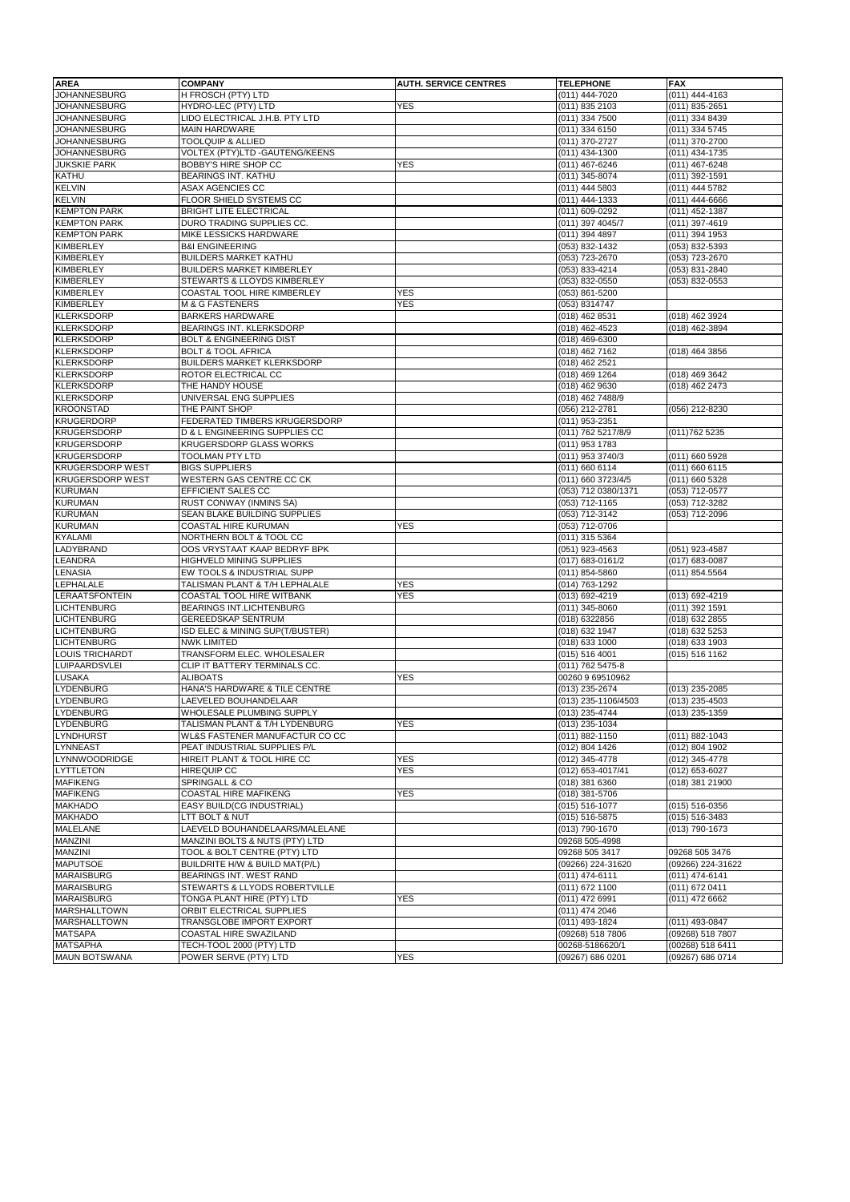| <b>AREA</b>             | <b>COMPANY</b>                     | <b>AUTH. SERVICE CENTRES</b> | <b>TELEPHONE</b>    | <b>FAX</b>        |
|-------------------------|------------------------------------|------------------------------|---------------------|-------------------|
| <b>JOHANNESBURG</b>     | H FROSCH (PTY) LTD                 |                              | $(011)$ 444-7020    | (011) 444-4163    |
| <b>JOHANNESBURG</b>     | HYDRO-LEC (PTY) LTD                | <b>YES</b>                   | (011) 835 2103      | (011) 835-2651    |
| <b>JOHANNESBURG</b>     | LIDO ELECTRICAL J.H.B. PTY LTD     |                              | (011) 334 7500      | (011) 334 8439    |
| JOHANNESBURG            | <b>MAIN HARDWARE</b>               |                              | (011) 334 6150      | (011) 334 5745    |
| <b>JOHANNESBURG</b>     | <b>TOOLQUIP &amp; ALLIED</b>       |                              | (011) 370-2727      | (011) 370-2700    |
| <b>JOHANNESBURG</b>     | VOLTEX (PTY)LTD - GAUTENG/KEENS    |                              | (011) 434-1300      | (011) 434-1735    |
| <b>JUKSKIE PARK</b>     | <b>BOBBY'S HIRE SHOP CC</b>        | YES                          | (011) 467-6246      | (011) 467-6248    |
| <b>KATHU</b>            | BEARINGS INT. KATHU                |                              | (011) 345-8074      | (011) 392-1591    |
| <b>KELVIN</b>           | ASAX AGENCIES CC                   |                              | (011) 444 5803      | (011) 444 5782    |
| <b>KELVIN</b>           | FLOOR SHIELD SYSTEMS CC            |                              | (011) 444-1333      | (011) 444-6666    |
| <b>KEMPTON PARK</b>     | BRIGHT LITE ELECTRICAL             |                              | (011) 609-0292      | (011) 452-1387    |
| <b>KEMPTON PARK</b>     | DURO TRADING SUPPLIES CC.          |                              | (011) 397 4045/7    | (011) 397-4619    |
| <b>KEMPTON PARK</b>     | MIKE LESSICKS HARDWARE             |                              | (011) 394 4897      | (011) 394 1953    |
| <b>KIMBERLEY</b>        | <b>B&amp;I ENGINEERING</b>         |                              | (053) 832-1432      | (053) 832-5393    |
| KIMBERLEY               | <b>BUILDERS MARKET KATHU</b>       |                              | (053) 723-2670      | (053) 723-2670    |
| KIMBERLEY               | <b>BUILDERS MARKET KIMBERLEY</b>   |                              | (053) 833-4214      | (053) 831-2840    |
| <b>KIMBERLEY</b>        | STEWARTS & LLOYDS KIMBERLEY        |                              | (053) 832-0550      | (053) 832-0553    |
| KIMBERLEY               | COASTAL TOOL HIRE KIMBERLEY        | <b>YES</b>                   | (053) 861-5200      |                   |
| <b>KIMBERLEY</b>        | <b>M &amp; G FASTENERS</b>         | <b>YES</b>                   | (053) 8314747       |                   |
| <b>KLERKSDORP</b>       | <b>BARKERS HARDWARE</b>            |                              | (018) 462 8531      | (018) 462 3924    |
| <b>KLERKSDORP</b>       | BEARINGS INT. KLERKSDORP           |                              | (018) 462-4523      | (018) 462-3894    |
| <b>KLERKSDORP</b>       | <b>BOLT &amp; ENGINEERING DIST</b> |                              | (018) 469-6300      |                   |
| <b>KLERKSDORP</b>       | <b>BOLT &amp; TOOL AFRICA</b>      |                              | (018) 462 7162      | (018) 464 3856    |
| <b>KLERKSDORP</b>       | <b>BUILDERS MARKET KLERKSDORP</b>  |                              | (018) 462 2521      |                   |
| <b>KLERKSDORP</b>       | ROTOR ELECTRICAL CC                |                              | (018) 469 1264      | (018) 469 3642    |
| <b>KLERKSDORP</b>       | THE HANDY HOUSE                    |                              | (018) 462 9630      | (018) 462 2473    |
| <b>KLERKSDORP</b>       | UNIVERSAL ENG SUPPLIES             |                              | (018) 462 7488/9    |                   |
| <b>KROONSTAD</b>        | THE PAINT SHOP                     |                              | (056) 212-2781      | (056) 212-8230    |
| <b>KRUGERDORP</b>       | FEDERATED TIMBERS KRUGERSDORP      |                              | (011) 953-2351      |                   |
| <b>KRUGERSDORP</b>      | D & L ENGINEERING SUPPLIES CC      |                              | (011) 762 5217/8/9  | (011) 762 5235    |
| <b>KRUGERSDORP</b>      | KRUGERSDORP GLASS WORKS            |                              | (011) 953 1783      |                   |
| <b>KRUGERSDORP</b>      | <b>TOOLMAN PTY LTD</b>             |                              | (011) 953 3740/3    | (011) 660 5928    |
| <b>KRUGERSDORP WEST</b> | <b>BIGS SUPPLIERS</b>              |                              | (011) 660 6114      | (011) 660 6115    |
| <b>KRUGERSDORP WEST</b> | WESTERN GAS CENTRE CC CK           |                              | (011) 660 3723/4/5  | (011) 660 5328    |
| <b>KURUMAN</b>          | EFFICIENT SALES CC                 |                              | (053) 712 0380/1371 | (053) 712-0577    |
| <b>KURUMAN</b>          | RUST CONWAY (INMINS SA)            |                              | (053) 712-1165      | (053) 712-3282    |
| <b>KURUMAN</b>          | SEAN BLAKE BUILDING SUPPLIES       |                              | (053) 712-3142      | (053) 712-2096    |
| <b>KURUMAN</b>          | COASTAL HIRE KURUMAN               | YES                          | (053) 712-0706      |                   |
| KYALAMI                 | NORTHERN BOLT & TOOL CC            |                              | (011) 315 5364      |                   |
| LADYBRAND               | OOS VRYSTAAT KAAP BEDRYF BPK       |                              | (051) 923-4563      | (051) 923-4587    |
| LEANDRA                 | HIGHVELD MINING SUPPLIES           |                              | (017) 683-0161/2    | (017) 683-0087    |
| LENASIA                 | EW TOOLS & INDUSTRIAL SUPP         |                              | (011) 854-5860      | (011) 854.5564    |
| LEPHALALE               | TALISMAN PLANT & T/H LEPHALALE     | <b>YES</b>                   | (014) 763-1292      |                   |
| LERAATSFONTEIN          | COASTAL TOOL HIRE WITBANK          | <b>YES</b>                   | (013) 692-4219      | (013) 692-4219    |
| <b>LICHTENBURG</b>      | BEARINGS INT.LICHTENBURG           |                              | $(011)$ 345-8060    | (011) 392 1591    |
| <b>LICHTENBURG</b>      | GEREEDSKAP SENTRUM                 |                              | (018) 6322856       | (018) 632 2855    |
| <b>LICHTENBURG</b>      | ISD ELEC & MINING SUP(T/BUSTER)    |                              | (018) 632 1947      | (018) 632 5253    |
| <b>LICHTENBURG</b>      | <b>NWK LIMITED</b>                 |                              | (018) 633 1000      | (018) 633 1903    |
| <b>LOUIS TRICHARDT</b>  | TRANSFORM ELEC. WHOLESALER         |                              | (015) 516 4001      | (015) 516 1162    |
| LUIPAARDSVLEI           | CLIP IT BATTERY TERMINALS CC.      |                              | (011) 762 5475-8    |                   |
| <b>LUSAKA</b>           | ALIBOATS                           | <b>YES</b>                   | 00260 9 69510962    |                   |
| LYDENBURG               | HANA'S HARDWARE & TILE CENTRE      |                              | (013) 235-2674      | (013) 235-2085    |
| LYDENBURG               | LAEVELED BOUHANDELAAR              |                              | (013) 235-1106/4503 | (013) 235-4503    |
| <b>LYDENBURG</b>        | WHOLESALE PLUMBING SUPPLY          |                              | (013) 235-4744      | (013) 235-1359    |
| LYDENBURG               | TALISMAN PLANT & T/H LYDENBURG     | <b>YES</b>                   | (013) 235-1034      |                   |
| LYNDHURST               | WL&S FASTENER MANUFACTUR CO CC     |                              | $(011) 882 - 1150$  | (011) 882-1043    |
| LYNNEAST                | PEAT INDUSTRIAL SUPPLIES P/L       |                              | (012) 804 1426      | (012) 804 1902    |
| LYNNWOODRIDGE           | HIREIT PLANT & TOOL HIRE CC        | <b>YES</b>                   | (012) 345-4778      | (012) 345-4778    |
| <b>LYTTLETON</b>        | <b>HIREQUIP CC</b>                 | YES                          | (012) 653-4017/41   | (012) 653-6027    |
| <b>MAFIKENG</b>         | SPRINGALL & CO                     |                              | (018) 381 6360      | (018) 381 21900   |
| <b>MAFIKENG</b>         | COASTAL HIRE MAFIKENG              | <b>YES</b>                   | (018) 381-5706      |                   |
| <b>MAKHADO</b>          | <b>EASY BUILD(CG INDUSTRIAL)</b>   |                              | (015) 516-1077      | (015) 516-0356    |
| <b>MAKHADO</b>          | LTT BOLT & NUT                     |                              | $(015) 516 - 5875$  | (015) 516-3483    |
| MALELANE                | LAEVELD BOUHANDELAARS/MALELANE     |                              | (013) 790-1670      | (013) 790-1673    |
| MANZINI                 | MANZINI BOLTS & NUTS (PTY) LTD     |                              | 09268 505-4998      |                   |
| MANZINI                 | TOOL & BOLT CENTRE (PTY) LTD       |                              | 09268 505 3417      | 09268 505 3476    |
| <b>MAPUTSOE</b>         | BUILDRITE H/W & BUILD MAT(P/L)     |                              | (09266) 224-31620   | (09266) 224-31622 |
| MARAISBURG              | BEARINGS INT. WEST RAND            |                              | (011) 474-6111      | (011) 474-6141    |
| <b>MARAISBURG</b>       | STEWARTS & LLYODS ROBERTVILLE      |                              | (011) 672 1100      | (011) 672 0411    |
| <b>MARAISBURG</b>       | TONGA PLANT HIRE (PTY) LTD         | YES                          | (011) 472 6991      | (011) 472 6662    |
| <b>MARSHALLTOWN</b>     | ORBIT ELECTRICAL SUPPLIES          |                              | (011) 474 2046      |                   |
| MARSHALLTOWN            | TRANSGLOBE IMPORT EXPORT           |                              | (011) 493-1824      | (011) 493-0847    |
| <b>MATSAPA</b>          | COASTAL HIRE SWAZILAND             |                              | (09268) 518 7806    | (09268) 518 7807  |
| <b>MATSAPHA</b>         | TECH-TOOL 2000 (PTY) LTD           |                              | 00268-5186620/1     | (00268) 518 6411  |
| <b>MAUN BOTSWANA</b>    | POWER SERVE (PTY) LTD              | <b>YES</b>                   | (09267) 686 0201    | (09267) 686 0714  |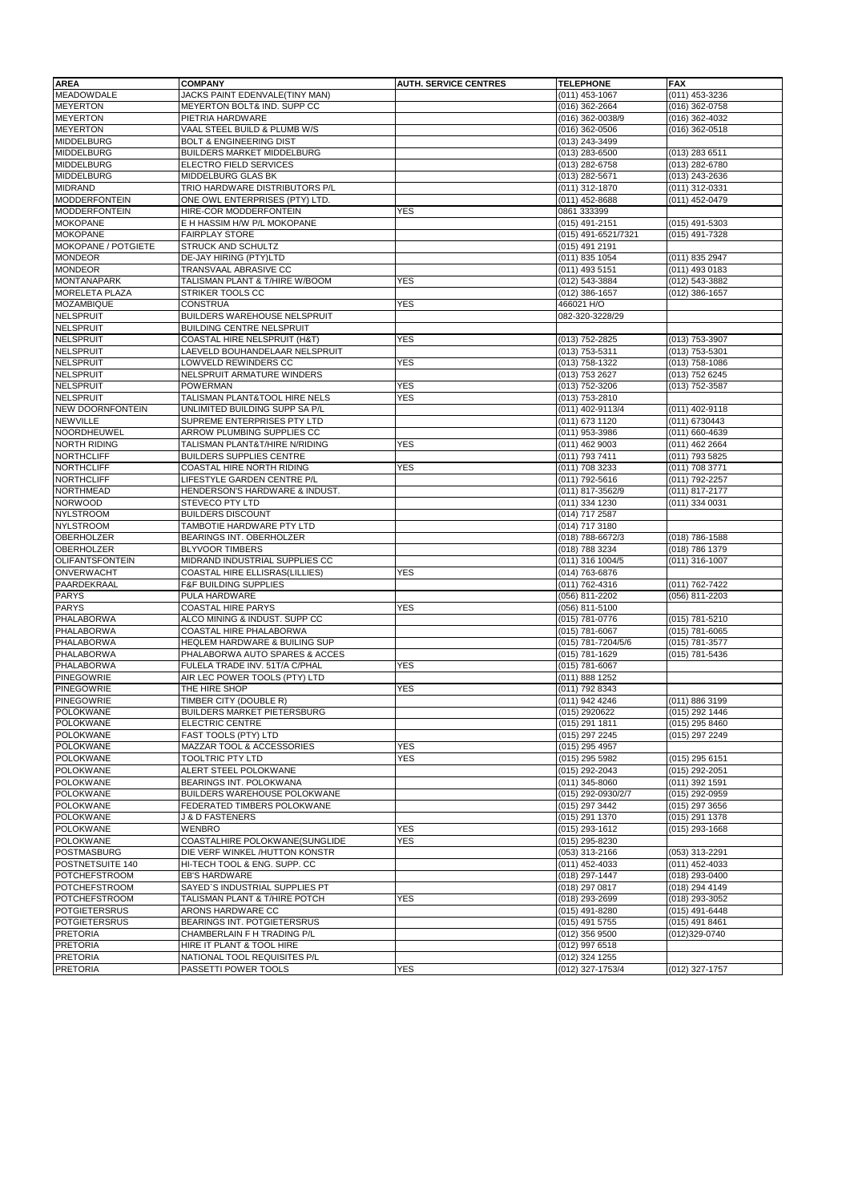| <b>AREA</b>                                 | <b>COMPANY</b>                                                   | <b>AUTH. SERVICE CENTRES</b> | <b>TELEPHONE</b>                   | <b>FAX</b>                         |
|---------------------------------------------|------------------------------------------------------------------|------------------------------|------------------------------------|------------------------------------|
| <b>MEADOWDALE</b>                           | JACKS PAINT EDENVALE(TINY MAN)                                   |                              | (011) 453-1067                     | (011) 453-3236                     |
| <b>MEYERTON</b>                             | MEYERTON BOLT& IND. SUPP CC                                      |                              | (016) 362-2664                     | (016) 362-0758                     |
| <b>MEYERTON</b>                             | PIETRIA HARDWARE                                                 |                              | (016) 362-0038/9                   | $(016)$ 362-4032                   |
| <b>MEYERTON</b>                             | VAAL STEEL BUILD & PLUMB W/S                                     |                              | $(016)$ 362-0506                   | (016) 362-0518                     |
| <b>MIDDELBURG</b>                           | <b>BOLT &amp; ENGINEERING DIST</b>                               |                              | (013) 243-3499                     |                                    |
| <b>MIDDELBURG</b>                           | BUILDERS MARKET MIDDELBURG                                       |                              | (013) 283-6500                     | (013) 283 6511                     |
| <b>MIDDELBURG</b>                           | <b>ELECTRO FIELD SERVICES</b>                                    |                              | (013) 282-6758                     | (013) 282-6780                     |
| <b>MIDDELBURG</b>                           | MIDDELBURG GLAS BK                                               |                              | (013) 282-5671                     | (013) 243-2636                     |
| <b>MIDRAND</b>                              | TRIO HARDWARE DISTRIBUTORS P/L                                   |                              | (011) 312-1870                     | (011) 312-0331                     |
| <b>MODDERFONTEIN</b>                        | ONE OWL ENTERPRISES (PTY) LTD.                                   |                              | (011) 452-8688                     | (011) 452-0479                     |
| <b>MODDERFONTEIN</b>                        | HIRE-COR MODDERFONTEIN                                           | YES                          | 0861 333399                        |                                    |
| <b>MOKOPANE</b>                             | E H HASSIM H/W P/L MOKOPANE                                      |                              | (015) 491-2151                     | (015) 491-5303                     |
| <b>MOKOPANE</b>                             | <b>FAIRPLAY STORE</b>                                            |                              | (015) 491-6521/7321                | (015) 491-7328                     |
| <b>MOKOPANE / POTGIETE</b>                  | STRUCK AND SCHULTZ                                               |                              | (015) 491 2191                     |                                    |
| <b>MONDEOR</b>                              | DE-JAY HIRING (PTY)LTD                                           |                              | (011) 835 1054                     | (011) 835 2947                     |
| <b>MONDEOR</b>                              | TRANSVAAL ABRASIVE CC                                            |                              | (011) 493 5151                     | (011) 493 0183                     |
| <b>MONTANAPARK</b>                          | TALISMAN PLANT & T/HIRE W/BOOM                                   | <b>YES</b>                   | (012) 543-3884                     | (012) 543-3882                     |
| <b>MORELETA PLAZA</b>                       | STRIKER TOOLS CC                                                 |                              | (012) 386-1657                     | (012) 386-1657                     |
| <b>MOZAMBIQUE</b>                           | <b>CONSTRUA</b>                                                  | YES                          | 466021 H/O                         |                                    |
| <b>NELSPRUIT</b>                            | BUILDERS WAREHOUSE NELSPRUIT                                     |                              | 082-320-3228/29                    |                                    |
| <b>NELSPRUIT</b>                            | <b>BUILDING CENTRE NELSPRUIT</b>                                 |                              |                                    |                                    |
| <b>NELSPRUIT</b>                            | COASTAL HIRE NELSPRUIT (H&T)                                     | <b>YES</b>                   | (013) 752-2825                     | (013) 753-3907                     |
| <b>NELSPRUIT</b>                            | LAEVELD BOUHANDELAAR NELSPRUIT                                   |                              | (013) 753-5311                     | (013) 753-5301                     |
| <b>NELSPRUIT</b>                            | LOWVELD REWINDERS CC                                             | <b>YES</b>                   | (013) 758-1322                     | (013) 758-1086                     |
| <b>NELSPRUIT</b>                            | NELSPRUIT ARMATURE WINDERS                                       |                              | (013) 753 2627                     | (013) 752 6245                     |
| <b>NELSPRUIT</b>                            | <b>POWERMAN</b>                                                  | <b>YES</b>                   | (013) 752-3206                     | (013) 752-3587                     |
| <b>NELSPRUIT</b><br><b>NEW DOORNFONTEIN</b> | TALISMAN PLANT&TOOL HIRE NELS                                    | YES                          | (013) 753-2810                     | (011) 402-9118                     |
|                                             | UNLIMITED BUILDING SUPP SA P/L                                   |                              | (011) 402-9113/4                   |                                    |
| <b>NEWVILLE</b><br>NOORDHEUWEL              | SUPREME ENTERPRISES PTY LTD<br><b>ARROW PLUMBING SUPPLIES CC</b> |                              | (011) 673 1120                     | (011) 6730443                      |
| <b>NORTH RIDING</b>                         | TALISMAN PLANT&T/HIRE N/RIDING                                   | <b>YES</b>                   | (011) 953-3986                     | (011) 660-4639                     |
| <b>NORTHCLIFF</b>                           | <b>BUILDERS SUPPLIES CENTRE</b>                                  |                              | $(011)$ 462 9003<br>(011) 793 7411 | $(011)$ 462 2664<br>(011) 793 5825 |
| <b>NORTHCLIFF</b>                           | COASTAL HIRE NORTH RIDING                                        | <b>YES</b>                   | (011) 708 3233                     | (011) 708 3771                     |
| <b>NORTHCLIFF</b>                           | LIFESTYLE GARDEN CENTRE P/L                                      |                              | (011) 792-5616                     | (011) 792-2257                     |
| <b>NORTHMEAD</b>                            | HENDERSON'S HARDWARE & INDUST.                                   |                              | (011) 817-3562/9                   | (011) 817-2177                     |
| <b>NORWOOD</b>                              | <b>STEVECO PTY LTD</b>                                           |                              | (011) 334 1230                     | (011) 334 0031                     |
| <b>NYLSTROOM</b>                            | <b>BUILDERS DISCOUNT</b>                                         |                              | (014) 717 2587                     |                                    |
| <b>NYLSTROOM</b>                            | TAMBOTIE HARDWARE PTY LTD                                        |                              | (014) 717 3180                     |                                    |
| <b>OBERHOLZER</b>                           | BEARINGS INT. OBERHOLZER                                         |                              | (018) 788-6672/3                   | (018) 786-1588                     |
| <b>OBERHOLZER</b>                           | <b>BLYVOOR TIMBERS</b>                                           |                              | (018) 788 3234                     | (018) 786 1379                     |
| <b>OLIFANTSFONTEIN</b>                      | MIDRAND INDUSTRIAL SUPPLIES CC                                   |                              | (011) 316 1004/5                   | (011) 316-1007                     |
| <b>ONVERWACHT</b>                           | COASTAL HIRE ELLISRAS(LILLIES)                                   | YES                          | (014) 763-6876                     |                                    |
| PAARDEKRAAL                                 | <b>F&amp;F BUILDING SUPPLIES</b>                                 |                              | (011) 762-4316                     | (011) 762-7422                     |
| <b>PARYS</b>                                | PULA HARDWARE                                                    |                              | (056) 811-2202                     | (056) 811-2203                     |
| <b>PARYS</b>                                | COASTAL HIRE PARYS                                               | YES                          | (056) 811-5100                     |                                    |
| <b>PHALABORWA</b>                           | ALCO MINING & INDUST. SUPP CC                                    |                              | (015) 781-0776                     | (015) 781-5210                     |
| <b>PHALABORWA</b>                           | COASTAL HIRE PHALABORWA                                          |                              | (015) 781-6067                     | $(015)$ 781-6065                   |
| <b>PHALABORWA</b>                           | <b>HEQLEM HARDWARE &amp; BUILING SUP</b>                         |                              | (015) 781-7204/5/6                 | (015) 781-3577                     |
| <b>PHALABORWA</b>                           | PHALABORWA AUTO SPARES & ACCES                                   |                              | (015) 781-1629                     | (015) 781-5436                     |
| <b>PHALABORWA</b>                           | FULELA TRADE INV. 51T/A C/PHAL                                   | YES                          | (015) 781-6067                     |                                    |
| <b>PINEGOWRIE</b>                           | AIR LEC POWER TOOLS (PTY) LTD                                    |                              | (011) 888 1252                     |                                    |
| <b>PINEGOWRIE</b>                           | THE HIRE SHOP                                                    | YES                          | (011) 792 8343                     |                                    |
| <b>PINEGOWRIE</b>                           | TIMBER CITY (DOUBLE R)                                           |                              | (011) 942 4246                     | (011) 886 3199                     |
| <b>POLOKWANE</b>                            | <b>BUILDERS MARKET PIETERSBURG</b>                               |                              | (015) 2920622                      | (015) 292 1446                     |
| <b>POLOKWANE</b>                            | <b>ELECTRIC CENTRE</b>                                           |                              | (015) 291 1811                     | $(015)$ 295 8460                   |
| <b>POLOKWANE</b>                            | FAST TOOLS (PTY) LTD                                             |                              | (015) 297 2245                     | (015) 297 2249                     |
| <b>POLOKWANE</b>                            | MAZZAR TOOL & ACCESSORIES                                        | <b>YES</b>                   | (015) 295 4957                     |                                    |
| <b>POLOKWANE</b>                            | TOOLTRIC PTY LTD                                                 | <b>YES</b>                   | (015) 295 5982                     | (015) 295 6151                     |
| POLOKWANE                                   | ALERT STEEL POLOKWANE                                            |                              | (015) 292-2043                     | (015) 292-2051                     |
| <b>POLOKWANE</b>                            | BEARINGS INT. POLOKWANA                                          |                              | (011) 345-8060                     | (011) 392 1591                     |
| <b>POLOKWANE</b>                            | BUILDERS WAREHOUSE POLOKWANE                                     |                              | (015) 292-0930/2/7                 | (015) 292-0959                     |
| <b>POLOKWANE</b>                            | FEDERATED TIMBERS POLOKWANE                                      |                              | (015) 297 3442                     | $(015)$ 297 3656                   |
| <b>POLOKWANE</b>                            | <b>J &amp; D FASTENERS</b>                                       |                              | (015) 291 1370                     | (015) 291 1378                     |
| <b>POLOKWANE</b>                            | <b>WENBRO</b>                                                    | <b>YES</b>                   | (015) 293-1612                     | $(015)$ 293-1668                   |
| <b>POLOKWANE</b>                            | COASTALHIRE POLOKWANE(SUNGLIDE                                   | YES                          | (015) 295-8230                     |                                    |
| <b>POSTMASBURG</b>                          | DIE VERF WINKEL/HUTTON KONSTR                                    |                              | (053) 313-2166                     | (053) 313-2291                     |
| POSTNETSUITE 140                            | HI-TECH TOOL & ENG. SUPP. CC                                     |                              | (011) 452-4033                     | (011) 452-4033                     |
| <b>POTCHEFSTROOM</b>                        | EB'S HARDWARE                                                    |                              | (018) 297-1447                     | (018) 293-0400                     |
| <b>POTCHEFSTROOM</b>                        | SAYED'S INDUSTRIAL SUPPLIES PT                                   |                              | (018) 297 0817                     | (018) 294 4149                     |
| <b>POTCHEFSTROOM</b>                        | TALISMAN PLANT & T/HIRE POTCH                                    | YES                          | (018) 293-2699                     | (018) 293-3052                     |
| <b>POTGIETERSRUS</b>                        | ARONS HARDWARE CC                                                |                              | (015) 491-8280                     | $(015)$ 491-6448                   |
| <b>POTGIETERSRUS</b>                        | BEARINGS INT. POTGIETERSRUS                                      |                              | (015) 491 5755                     | (015) 491 8461                     |
| <b>PRETORIA</b>                             | CHAMBERLAIN F H TRADING P/L                                      |                              | (012) 356 9500                     | (012)329-0740                      |
| <b>PRETORIA</b>                             | HIRE IT PLANT & TOOL HIRE                                        |                              | (012) 997 6518                     |                                    |
| <b>PRETORIA</b>                             | NATIONAL TOOL REQUISITES P/L                                     |                              | (012) 324 1255                     |                                    |
| <b>PRETORIA</b>                             | PASSETTI POWER TOOLS                                             | <b>YES</b>                   | (012) 327-1753/4                   | (012) 327-1757                     |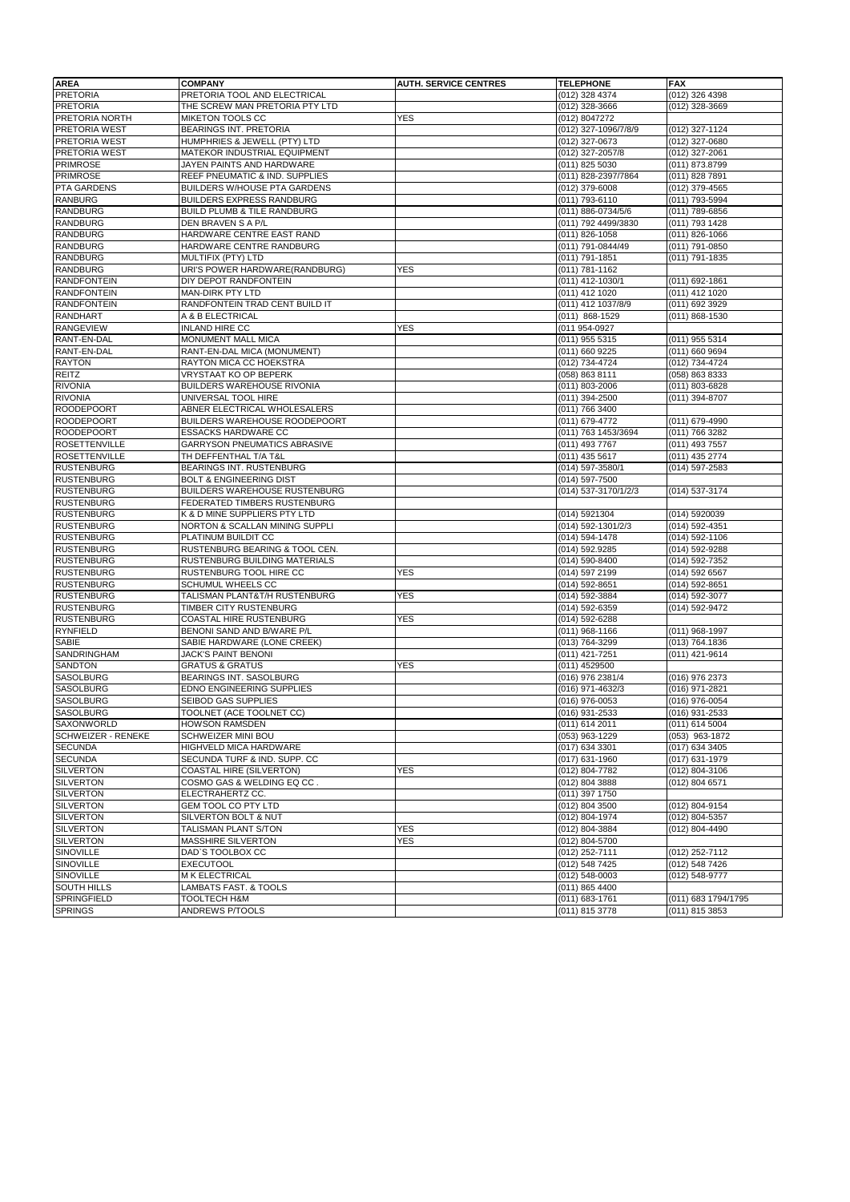| <b>AREA</b>               | <b>COMPANY</b>                       | <b>AUTH. SERVICE CENTRES</b> | <b>TELEPHONE</b>     | <b>FAX</b>          |
|---------------------------|--------------------------------------|------------------------------|----------------------|---------------------|
| <b>PRETORIA</b>           | PRETORIA TOOL AND ELECTRICAL         |                              | (012) 328 4374       | (012) 326 4398      |
| <b>PRETORIA</b>           | THE SCREW MAN PRETORIA PTY LTD       |                              | (012) 328-3666       | (012) 328-3669      |
| PRETORIA NORTH            | MIKETON TOOLS CC                     | <b>YES</b>                   | (012) 8047272        |                     |
| <b>PRETORIA WEST</b>      | BEARINGS INT. PRETORIA               |                              | (012) 327-1096/7/8/9 | (012) 327-1124      |
| PRETORIA WEST             | HUMPHRIES & JEWELL (PTY) LTD         |                              | (012) 327-0673       | (012) 327-0680      |
| <b>PRETORIA WEST</b>      | MATEKOR INDUSTRIAL EQUIPMENT         |                              | (012) 327-2057/8     | (012) 327-2061      |
| <b>PRIMROSE</b>           | JAYEN PAINTS AND HARDWARE            |                              | (011) 825 5030       | (011) 873.8799      |
| <b>PRIMROSE</b>           | REEF PNEUMATIC & IND. SUPPLIES       |                              | (011) 828-2397/7864  | (011) 828 7891      |
| PTA GARDENS               | BUILDERS W/HOUSE PTA GARDENS         |                              | (012) 379-6008       | (012) 379-4565      |
| <b>RANBURG</b>            | <b>BUILDERS EXPRESS RANDBURG</b>     |                              | (011) 793-6110       | (011) 793-5994      |
| <b>RANDBURG</b>           | BUILD PLUMB & TILE RANDBURG          |                              | (011) 886-0734/5/6   | (011) 789-6856      |
| <b>RANDBURG</b>           | DEN BRAVEN S A P/L                   |                              | (011) 792 4499/3830  | (011) 793 1428      |
| <b>RANDBURG</b>           | HARDWARE CENTRE EAST RAND            |                              | $(011) 826 - 1058$   | $(011)$ 826-1066    |
| <b>RANDBURG</b>           | HARDWARE CENTRE RANDBURG             |                              | (011) 791-0844/49    | (011) 791-0850      |
| <b>RANDBURG</b>           | MULTIFIX (PTY) LTD                   |                              | (011) 791-1851       | (011) 791-1835      |
| <b>RANDBURG</b>           | URI'S POWER HARDWARE(RANDBURG)       | <b>YES</b>                   | (011) 781-1162       |                     |
| <b>RANDFONTEIN</b>        | DIY DEPOT RANDFONTEIN                |                              | (011) 412-1030/1     | (011) 692-1861      |
| <b>RANDFONTEIN</b>        | MAN-DIRK PTY LTD                     |                              | (011) 412 1020       | (011) 412 1020      |
| <b>RANDFONTEIN</b>        | RANDFONTEIN TRAD CENT BUILD IT       |                              | (011) 412 1037/8/9   | (011) 692 3929      |
| <b>RANDHART</b>           | A & B ELECTRICAL                     |                              | (011) 868-1529       | (011) 868-1530      |
| <b>RANGEVIEW</b>          | <b>INLAND HIRE CC</b>                | <b>YES</b>                   | (011 954-0927        |                     |
| RANT-EN-DAL               | MONUMENT MALL MICA                   |                              | (011) 955 5315       | (011) 955 5314      |
| RANT-EN-DAL               | RANT-EN-DAL MICA (MONUMENT)          |                              | (011) 660 9225       | (011) 660 9694      |
| <b>RAYTON</b>             | RAYTON MICA CC HOEKSTRA              |                              | (012) 734-4724       | (012) 734-4724      |
| REITZ                     | <b>VRYSTAAT KO OP BEPERK</b>         |                              | (058) 863 8111       | (058) 863 8333      |
| <b>RIVONIA</b>            | BUILDERS WAREHOUSE RIVONIA           |                              | (011) 803-2006       | (011) 803-6828      |
| <b>RIVONIA</b>            | UNIVERSAL TOOL HIRE                  |                              | (011) 394-2500       | (011) 394-8707      |
| <b>ROODEPOORT</b>         | ABNER ELECTRICAL WHOLESALERS         |                              | (011) 766 3400       |                     |
| <b>ROODEPOORT</b>         | BUILDERS WAREHOUSE ROODEPOORT        |                              | (011) 679-4772       | (011) 679-4990      |
| <b>ROODEPOORT</b>         | <b>ESSACKS HARDWARE CC</b>           |                              | (011) 763 1453/3694  | (011) 766 3282      |
| <b>ROSETTENVILLE</b>      | GARRYSON PNEUMATICS ABRASIVE         |                              | (011) 493 7767       | (011) 493 7557      |
| <b>ROSETTENVILLE</b>      | TH DEFFENTHAL T/A T&L                |                              | (011) 435 5617       | (011) 435 2774      |
| <b>RUSTENBURG</b>         | BEARINGS INT. RUSTENBURG             |                              | (014) 597-3580/1     | $(014)$ 597-2583    |
| <b>RUSTENBURG</b>         | <b>BOLT &amp; ENGINEERING DIST</b>   |                              | (014) 597-7500       |                     |
| <b>RUSTENBURG</b>         | <b>BUILDERS WAREHOUSE RUSTENBURG</b> |                              |                      |                     |
|                           |                                      |                              | (014) 537-3170/1/2/3 | (014) 537-3174      |
| <b>RUSTENBURG</b>         | FEDERATED TIMBERS RUSTENBURG         |                              |                      |                     |
| <b>RUSTENBURG</b>         | K & D MINE SUPPLIERS PTY LTD         |                              | (014) 5921304        | (014) 5920039       |
| <b>RUSTENBURG</b>         | NORTON & SCALLAN MINING SUPPLI       |                              | (014) 592-1301/2/3   | (014) 592-4351      |
| <b>RUSTENBURG</b>         | PLATINUM BUILDIT CC                  |                              | (014) 594-1478       | (014) 592-1106      |
| <b>RUSTENBURG</b>         | RUSTENBURG BEARING & TOOL CEN.       |                              | (014) 592.9285       | (014) 592-9288      |
| <b>RUSTENBURG</b>         | RUSTENBURG BUILDING MATERIALS        |                              | (014) 590-8400       | (014) 592-7352      |
| <b>RUSTENBURG</b>         | RUSTENBURG TOOL HIRE CC              | <b>YES</b>                   | (014) 597 2199       | (014) 592 6567      |
| <b>RUSTENBURG</b>         | SCHUMUL WHEELS CC                    |                              | (014) 592-8651       | (014) 592-8651      |
| <b>RUSTENBURG</b>         | TALISMAN PLANT&T/H RUSTENBURG        | <b>YES</b>                   | (014) 592-3884       | (014) 592-3077      |
| <b>RUSTENBURG</b>         | TIMBER CITY RUSTENBURG               |                              | (014) 592-6359       | (014) 592-9472      |
| <b>RUSTENBURG</b>         | COASTAL HIRE RUSTENBURG              | <b>YES</b>                   | (014) 592-6288       |                     |
| <b>RYNFIELD</b>           | BENONI SAND AND B/WARE P/L           |                              | $(011)$ 968-1166     | (011) 968-1997      |
| <b>SABIE</b>              | SABIE HARDWARE (LONE CREEK)          |                              | (013) 764-3299       | (013) 764.1836      |
| <b>SANDRINGHAM</b>        | JACK'S PAINT BENONI                  |                              | (011) 421-7251       | (011) 421-9614      |
| <b>SANDTON</b>            | <b>GRATUS &amp; GRATUS</b>           | YES                          | (011) 4529500        |                     |
| <b>SASOLBURG</b>          | BEARINGS INT. SASOLBURG              |                              | (016) 976 2381/4     | (016) 976 2373      |
| <b>SASOLBURG</b>          | EDNO ENGINEERING SUPPLIES            |                              | (016) 971-4632/3     | (016) 971-2821      |
| <b>SASOLBURG</b>          | SEIBOD GAS SUPPLIES                  |                              | (016) 976-0053       | (016) 976-0054      |
| SASOLBURG                 | TOOLNET (ACE TOOLNET CC)             |                              | (016) 931-2533       | (016) 931-2533      |
| SAXONWORLD                | <b>HOWSON RAMSDEN</b>                |                              | $(011)$ 614 2011     | $(011)$ 614 5004    |
| <b>SCHWEIZER - RENEKE</b> | SCHWEIZER MINI BOU                   |                              | (053) 963-1229       | $(053)$ 963-1872    |
| <b>SECUNDA</b>            | HIGHVELD MICA HARDWARE               |                              | (017) 634 3301       | (017) 634 3405      |
| <b>SECUNDA</b>            | SECUNDA TURF & IND. SUPP. CC         |                              | $(017)$ 631-1960     | (017) 631-1979      |
| <b>SILVERTON</b>          | COASTAL HIRE (SILVERTON)             | <b>YES</b>                   | (012) 804-7782       | (012) 804-3106      |
| <b>SILVERTON</b>          | COSMO GAS & WELDING EQ CC.           |                              | (012) 804 3888       | (012) 804 6571      |
| <b>SILVERTON</b>          | ELECTRAHERTZ CC.                     |                              | (011) 397 1750       |                     |
| <b>SILVERTON</b>          | GEM TOOL CO PTY LTD                  |                              | (012) 804 3500       | (012) 804-9154      |
| <b>SILVERTON</b>          | <b>SILVERTON BOLT &amp; NUT</b>      |                              | (012) 804-1974       | (012) 804-5357      |
| <b>SILVERTON</b>          | TALISMAN PLANT S/TON                 | <b>YES</b>                   | (012) 804-3884       | (012) 804-4490      |
| <b>SILVERTON</b>          | MASSHIRE SILVERTON                   | YES                          | (012) 804-5700       |                     |
| SINOVILLE                 | DAD'S TOOLBOX CC                     |                              | (012) 252-7111       | (012) 252-7112      |
| SINOVILLE                 | <b>EXECUTOOL</b>                     |                              | (012) 548 7425       | (012) 548 7426      |
| SINOVILLE                 | M K ELECTRICAL                       |                              | (012) 548-0003       | (012) 548-9777      |
| <b>SOUTH HILLS</b>        | LAMBATS FAST. & TOOLS                |                              | (011) 865 4400       |                     |
| SPRINGFIELD               | TOOLTECH H&M                         |                              | (011) 683-1761       | (011) 683 1794/1795 |
| <b>SPRINGS</b>            | <b>ANDREWS P/TOOLS</b>               |                              | (011) 815 3778       | (011) 815 3853      |